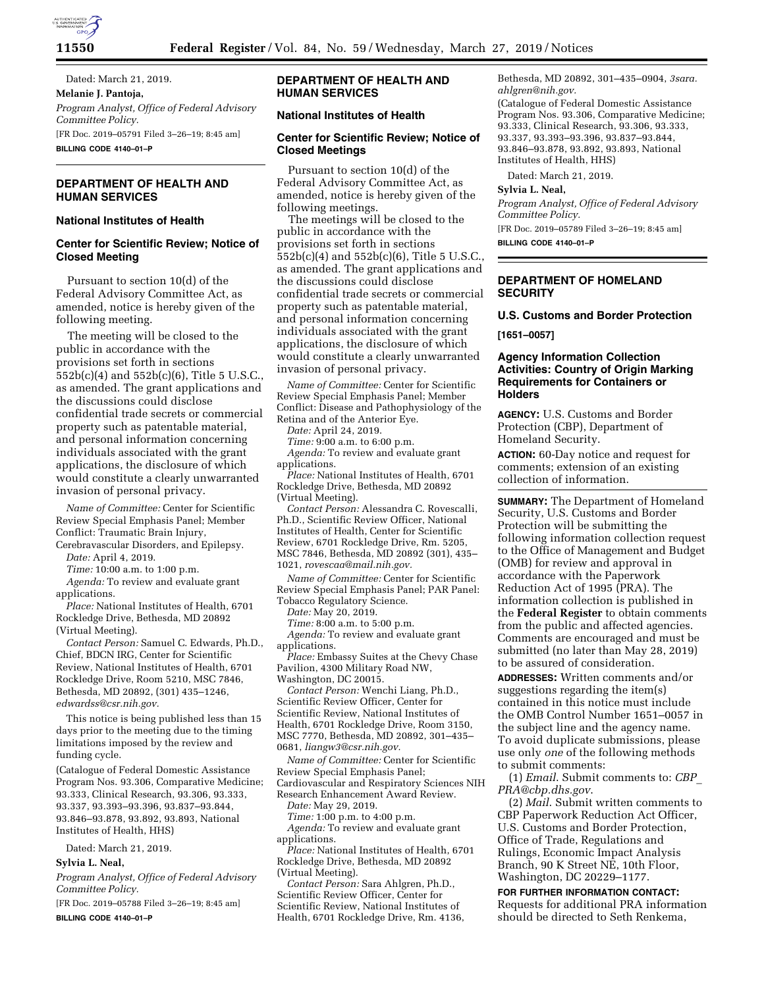

Dated: March 21, 2019. **Melanie J. Pantoja,**  *Program Analyst, Office of Federal Advisory Committee Policy.*  [FR Doc. 2019–05791 Filed 3–26–19; 8:45 am] **BILLING CODE 4140–01–P** 

# **DEPARTMENT OF HEALTH AND HUMAN SERVICES**

### **National Institutes of Health**

## **Center for Scientific Review; Notice of Closed Meeting**

Pursuant to section 10(d) of the Federal Advisory Committee Act, as amended, notice is hereby given of the following meeting.

The meeting will be closed to the public in accordance with the provisions set forth in sections 552b(c)(4) and 552b(c)(6), Title 5 U.S.C., as amended. The grant applications and the discussions could disclose confidential trade secrets or commercial property such as patentable material, and personal information concerning individuals associated with the grant applications, the disclosure of which would constitute a clearly unwarranted invasion of personal privacy.

*Name of Committee:* Center for Scientific Review Special Emphasis Panel; Member Conflict: Traumatic Brain Injury,

Cerebravascular Disorders, and Epilepsy. *Date:* April 4, 2019.

*Time:* 10:00 a.m. to 1:00 p.m.

*Agenda:* To review and evaluate grant applications.

*Place:* National Institutes of Health, 6701 Rockledge Drive, Bethesda, MD 20892 (Virtual Meeting).

*Contact Person:* Samuel C. Edwards, Ph.D., Chief, BDCN IRG, Center for Scientific Review, National Institutes of Health, 6701 Rockledge Drive, Room 5210, MSC 7846, Bethesda, MD 20892, (301) 435–1246, *[edwardss@csr.nih.gov.](mailto:edwardss@csr.nih.gov)* 

This notice is being published less than 15 days prior to the meeting due to the timing limitations imposed by the review and funding cycle.

(Catalogue of Federal Domestic Assistance Program Nos. 93.306, Comparative Medicine; 93.333, Clinical Research, 93.306, 93.333, 93.337, 93.393–93.396, 93.837–93.844, 93.846–93.878, 93.892, 93.893, National Institutes of Health, HHS)

Dated: March 21, 2019.

### **Sylvia L. Neal,**

*Program Analyst, Office of Federal Advisory Committee Policy.* 

[FR Doc. 2019–05788 Filed 3–26–19; 8:45 am] **BILLING CODE 4140–01–P** 

## **DEPARTMENT OF HEALTH AND HUMAN SERVICES**

### **National Institutes of Health**

### **Center for Scientific Review; Notice of Closed Meetings**

Pursuant to section 10(d) of the Federal Advisory Committee Act, as amended, notice is hereby given of the following meetings.

The meetings will be closed to the public in accordance with the provisions set forth in sections 552b(c)(4) and 552b(c)(6), Title 5 U.S.C., as amended. The grant applications and the discussions could disclose confidential trade secrets or commercial property such as patentable material, and personal information concerning individuals associated with the grant applications, the disclosure of which would constitute a clearly unwarranted invasion of personal privacy.

*Name of Committee:* Center for Scientific Review Special Emphasis Panel; Member Conflict: Disease and Pathophysiology of the Retina and of the Anterior Eye.

*Date:* April 24, 2019.

*Time:* 9:00 a.m. to 6:00 p.m.

*Agenda:* To review and evaluate grant applications.

*Place:* National Institutes of Health, 6701 Rockledge Drive, Bethesda, MD 20892 (Virtual Meeting).

*Contact Person:* Alessandra C. Rovescalli, Ph.D., Scientific Review Officer, National Institutes of Health, Center for Scientific Review, 6701 Rockledge Drive, Rm. 5205, MSC 7846, Bethesda, MD 20892 (301), 435– 1021, *[rovescaa@mail.nih.gov.](mailto:rovescaa@mail.nih.gov)* 

*Name of Committee:* Center for Scientific Review Special Emphasis Panel; PAR Panel: Tobacco Regulatory Science.

*Date:* May 20, 2019.

*Time:* 8:00 a.m. to 5:00 p.m.

*Agenda:* To review and evaluate grant applications.

*Place:* Embassy Suites at the Chevy Chase Pavilion, 4300 Military Road NW, Washington, DC 20015.

*Contact Person:* Wenchi Liang, Ph.D., Scientific Review Officer, Center for Scientific Review, National Institutes of Health, 6701 Rockledge Drive, Room 3150, MSC 7770, Bethesda, MD 20892, 301–435– 0681, *[liangw3@csr.nih.gov.](mailto:liangw3@csr.nih.gov)* 

*Name of Committee:* Center for Scientific Review Special Emphasis Panel; Cardiovascular and Respiratory Sciences NIH

Research Enhancement Award Review. *Date:* May 29, 2019.

*Time:* 1:00 p.m. to 4:00 p.m.

*Agenda:* To review and evaluate grant applications.

*Place:* National Institutes of Health, 6701 Rockledge Drive, Bethesda, MD 20892 (Virtual Meeting).

*Contact Person:* Sara Ahlgren, Ph.D., Scientific Review Officer, Center for Scientific Review, National Institutes of Health, 6701 Rockledge Drive, Rm. 4136, Bethesda, MD 20892, 301–435–0904, *3sara. ahlgren@nih.gov.*  (Catalogue of Federal Domestic Assistance

Program Nos. 93.306, Comparative Medicine; 93.333, Clinical Research, 93.306, 93.333, 93.337, 93.393–93.396, 93.837–93.844, 93.846–93.878, 93.892, 93.893, National Institutes of Health, HHS)

Dated: March 21, 2019.

**Sylvia L. Neal,** 

*Program Analyst, Office of Federal Advisory Committee Policy.* 

[FR Doc. 2019–05789 Filed 3–26–19; 8:45 am] **BILLING CODE 4140–01–P** 

## **DEPARTMENT OF HOMELAND SECURITY**

## **U.S. Customs and Border Protection**

**[1651–0057]** 

### **Agency Information Collection Activities: Country of Origin Marking Requirements for Containers or Holders**

**AGENCY:** U.S. Customs and Border Protection (CBP), Department of Homeland Security.

**ACTION:** 60-Day notice and request for comments; extension of an existing collection of information.

**SUMMARY:** The Department of Homeland Security, U.S. Customs and Border Protection will be submitting the following information collection request to the Office of Management and Budget (OMB) for review and approval in accordance with the Paperwork Reduction Act of 1995 (PRA). The information collection is published in the **Federal Register** to obtain comments from the public and affected agencies. Comments are encouraged and must be submitted (no later than May 28, 2019) to be assured of consideration.

**ADDRESSES:** Written comments and/or suggestions regarding the item(s) contained in this notice must include the OMB Control Number 1651–0057 in the subject line and the agency name. To avoid duplicate submissions, please use only *one* of the following methods to submit comments:

(1) *Email*. Submit comments to: *[CBP](mailto:CBP_PRA@cbp.dhs.gov)*\_ *[PRA@cbp.dhs.gov](mailto:CBP_PRA@cbp.dhs.gov)*.

(2) *Mail*. Submit written comments to CBP Paperwork Reduction Act Officer, U.S. Customs and Border Protection, Office of Trade, Regulations and Rulings, Economic Impact Analysis Branch, 90 K Street NE, 10th Floor, Washington, DC 20229–1177.

# **FOR FURTHER INFORMATION CONTACT:**

Requests for additional PRA information should be directed to Seth Renkema,